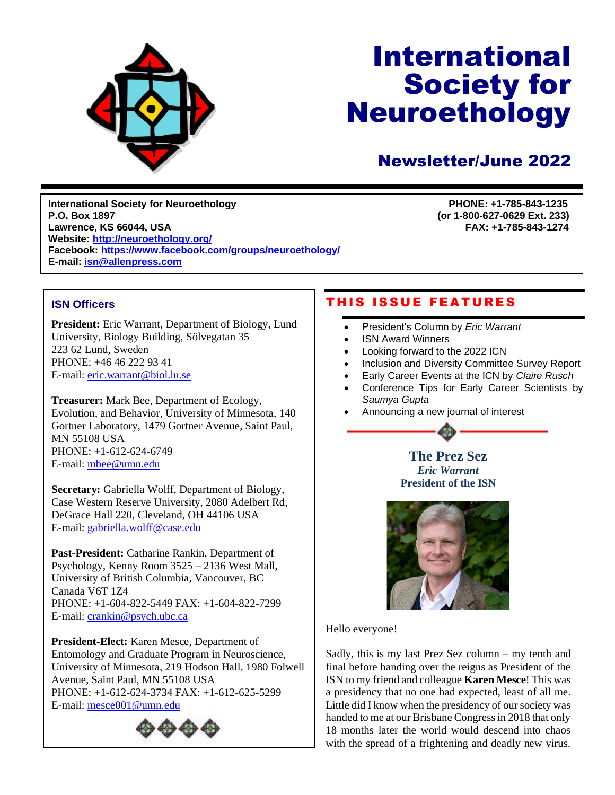

# International Society for Neuroethology

# Newsletter/June 2022

**International Society for Neuroethology PHONE: +1-785-843-1235 P.O. Box 1897 (or 1-800-627-0629 Ext. 233) Lawrence, KS 66044, USA Website:<http://neuroethology.org/> Facebook:<https://www.facebook.com/groups/neuroethology/> E-mail: [isn@allenpress.com](file:///C:/Users/fahrbach/Desktop/isn@allenpress.com)**

March 2011

# **ISN Officers**

**President:** Eric Warrant, Department of Biology, Lund University, Biology Building, Sölvegatan 35 223 62 Lund, Sweden PHONE: +46 46 222 93 41 E-mail: [eric.warrant@biol.lu.se](file:///C:/Users/fahrbach/Desktop/eric.warrant@biol.lu.se)

**Treasurer:** Mark Bee, Department of Ecology, Evolution, and Behavior, University of Minnesota, 140 Gortner Laboratory, 1479 Gortner Avenue, Saint Paul, MN 55108 USA PHONE: +1-612-624-6749 E-mail: [mbee@umn.edu](mailto:mbee@umn.edu)

**Secretary:** Gabriella Wolff, Department of Biology, Case Western Reserve University, 2080 Adelbert Rd, DeGrace Hall 220, Cleveland, OH 44106 USA E-mail: [gabriella.wolff@case.edu](mailto:gabriella.wolff@case.edu)

**Past-President:** Catharine Rankin, Department of Psychology, Kenny Room 3525 – 2136 West Mall, University of British Columbia, Vancouver, BC Canada V6T 1Z4 PHONE: +1-604-822-5449 FAX: +1-604-822-7299 E-mail: [crankin@psych.ubc.ca](mailto:crankin@psych.ubc.ca)

**President-Elect:** Karen Mesce, Department of Entomology and Graduate Program in Neuroscience, University of Minnesota, 219 Hodson Hall, 1980 Folwell Avenue, Saint Paul, MN 55108 USA PHONE: +1-612-624-3734 FAX: +1-612-625-5299 E-mail: [mesce001@umn.edu](mailto:mesce001@umn.edu)



# THIS ISSUE FEATURES

- President's Column by *Eric Warrant*
- ISN Award Winners
- Looking forward to the 2022 ICN
- Inclusion and Diversity Committee Survey Report
- Early Career Events at the ICN by *Claire Rusch*
- Conference Tips for Early Career Scientists by *Saumya Gupta*
- Announcing a new journal of interest





Hello everyone!

Sadly, this is my last Prez Sez column – my tenth and final before handing over the reigns as President of the ISN to my friend and colleague **Karen Mesce**! This was a presidency that no one had expected, least of all me. Little did I know when the presidency of our society was handed to me at our Brisbane Congress in 2018 that only 18 months later the world would descend into chaos with the spread of a frightening and deadly new virus.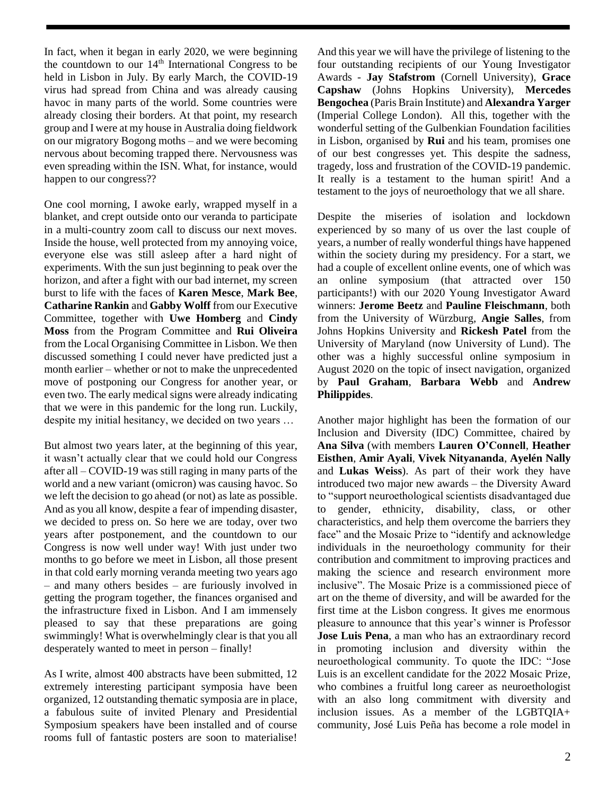In fact, when it began in early 2020, we were beginning the countdown to our  $14<sup>th</sup>$  International Congress to be held in Lisbon in July. By early March, the COVID-19 virus had spread from China and was already causing havoc in many parts of the world. Some countries were already closing their borders. At that point, my research group and I were at my house in Australia doing fieldwork on our migratory Bogong moths – and we were becoming nervous about becoming trapped there. Nervousness was even spreading within the ISN. What, for instance, would happen to our congress??

One cool morning, I awoke early, wrapped myself in a blanket, and crept outside onto our veranda to participate in a multi-country zoom call to discuss our next moves. Inside the house, well protected from my annoying voice, everyone else was still asleep after a hard night of experiments. With the sun just beginning to peak over the horizon, and after a fight with our bad internet, my screen burst to life with the faces of **Karen Mesce**, **Mark Bee**, **Catharine Rankin** and **Gabby Wolff** from our Executive Committee, together with **Uwe Homberg** and **Cindy Moss** from the Program Committee and **Rui Oliveira** from the Local Organising Committee in Lisbon. We then discussed something I could never have predicted just a month earlier – whether or not to make the unprecedented move of postponing our Congress for another year, or even two. The early medical signs were already indicating that we were in this pandemic for the long run. Luckily, despite my initial hesitancy, we decided on two years …

But almost two years later, at the beginning of this year, it wasn't actually clear that we could hold our Congress after all – COVID-19 was still raging in many parts of the world and a new variant (omicron) was causing havoc. So we left the decision to go ahead (or not) as late as possible. And as you all know, despite a fear of impending disaster, we decided to press on. So here we are today, over two years after postponement, and the countdown to our Congress is now well under way! With just under two months to go before we meet in Lisbon, all those present in that cold early morning veranda meeting two years ago – and many others besides – are furiously involved in getting the program together, the finances organised and the infrastructure fixed in Lisbon. And I am immensely pleased to say that these preparations are going swimmingly! What is overwhelmingly clear is that you all desperately wanted to meet in person – finally!

As I write, almost 400 abstracts have been submitted, 12 extremely interesting participant symposia have been organized, 12 outstanding thematic symposia are in place, a fabulous suite of invited Plenary and Presidential Symposium speakers have been installed and of course rooms full of fantastic posters are soon to materialise! And this year we will have the privilege of listening to the four outstanding recipients of our Young Investigator Awards - **Jay Stafstrom** (Cornell University), **Grace Capshaw** (Johns Hopkins University), **Mercedes Bengochea** (Paris Brain Institute) and **Alexandra Yarger** (Imperial College London). All this, together with the wonderful setting of the Gulbenkian Foundation facilities in Lisbon, organised by **Rui** and his team, promises one of our best congresses yet. This despite the sadness, tragedy, loss and frustration of the COVID-19 pandemic. It really is a testament to the human spirit! And a testament to the joys of neuroethology that we all share.

Despite the miseries of isolation and lockdown experienced by so many of us over the last couple of years, a number of really wonderful things have happened within the society during my presidency. For a start, we had a couple of excellent online events, one of which was an online symposium (that attracted over 150 participants!) with our 2020 Young Investigator Award winners: **Jerome Beetz** and **Pauline Fleischmann**, both from the University of Würzburg, **Angie Salles**, from Johns Hopkins University and **Rickesh Patel** from the University of Maryland (now University of Lund). The other was a highly successful online symposium in August 2020 on the topic of insect navigation, organized by **Paul Graham**, **Barbara Webb** and **Andrew Philippides**.

Another major highlight has been the formation of our Inclusion and Diversity (IDC) Committee, chaired by **Ana Silva** (with members **Lauren O'Connell**, **Heather Eisthen**, **Amir Ayali**, **Vivek Nityananda**, **Ayelén Nally**  and **Lukas Weiss**). As part of their work they have introduced two major new awards – the Diversity Award to "support neuroethological scientists disadvantaged due to gender, ethnicity, disability, class, or other characteristics, and help them overcome the barriers they face" and the Mosaic Prize to "identify and acknowledge individuals in the neuroethology community for their contribution and commitment to improving practices and making the science and research environment more inclusive". The Mosaic Prize is a commissioned piece of art on the theme of diversity, and will be awarded for the first time at the Lisbon congress. It gives me enormous pleasure to announce that this year's winner is Professor **Jose Luis Pena**, a man who has an extraordinary record in promoting inclusion and diversity within the neuroethological community. To quote the IDC: "Jose Luis is an excellent candidate for the 2022 Mosaic Prize, who combines a fruitful long career as neuroethologist with an also long commitment with diversity and inclusion issues. As a member of the LGBTQIA+ community, José Luis Peña has become a role model in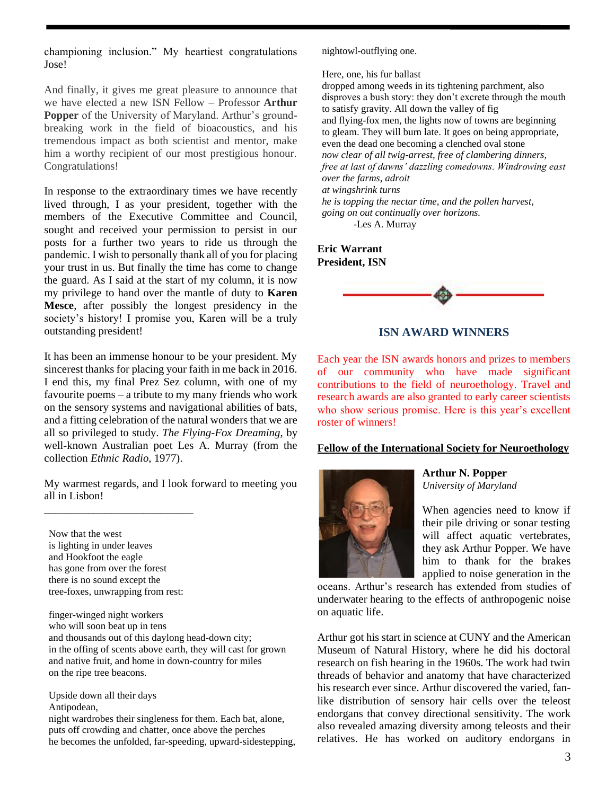championing inclusion." My heartiest congratulations Jose!

And finally, it gives me great pleasure to announce that we have elected a new ISN Fellow – Professor **Arthur Popper** of the University of Maryland. Arthur's groundbreaking work in the field of bioacoustics, and his tremendous impact as both scientist and mentor, make him a worthy recipient of our most prestigious honour. Congratulations!

In response to the extraordinary times we have recently lived through, I as your president, together with the members of the Executive Committee and Council, sought and received your permission to persist in our posts for a further two years to ride us through the pandemic. I wish to personally thank all of you for placing your trust in us. But finally the time has come to change the guard. As I said at the start of my column, it is now my privilege to hand over the mantle of duty to **Karen Mesce**, after possibly the longest presidency in the society's history! I promise you, Karen will be a truly outstanding president!

It has been an immense honour to be your president. My sincerest thanks for placing your faith in me back in 2016. I end this, my final Prez Sez column, with one of my favourite poems – a tribute to my many friends who work on the sensory systems and navigational abilities of bats, and a fitting celebration of the natural wonders that we are all so privileged to study. *The Flying-Fox Dreaming*, by well-known Australian poet Les A. Murray (from the collection *Ethnic Radio*, 1977).

My warmest regards, and I look forward to meeting you all in Lisbon!

Now that the west is lighting in under leaves and Hookfoot the eagle has gone from over the forest there is no sound except the tree-foxes, unwrapping from rest:

\_\_\_\_\_\_\_\_\_\_\_\_\_\_\_\_\_\_\_\_\_\_\_\_\_\_\_

finger-winged night workers who will soon beat up in tens and thousands out of this daylong head-down city; in the offing of scents above earth, they will cast for grown and native fruit, and home in down-country for miles on the ripe tree beacons.

Upside down all their days Antipodean,

night wardrobes their singleness for them. Each bat, alone, puts off crowding and chatter, once above the perches he becomes the unfolded, far-speeding, upward-sidestepping, nightowl-outflying one.

Here, one, his fur ballast

dropped among weeds in its tightening parchment, also disproves a bush story: they don't excrete through the mouth to satisfy gravity. All down the valley of fig and flying-fox men, the lights now of towns are beginning to gleam. They will burn late. It goes on being appropriate, even the dead one becoming a clenched oval stone *now clear of all twig-arrest, free of clambering dinners, free at last of dawns' dazzling comedowns. Windrowing east over the farms, adroit at wingshrink turns*

*he is topping the nectar time, and the pollen harvest, going on out continually over horizons.* -Les A. Murray

**Eric Warrant President, ISN**



**ISN AWARD WINNERS**

Each year the ISN awards honors and prizes to members of our community who have made significant contributions to the field of neuroethology. Travel and research awards are also granted to early career scientists who show serious promise. Here is this year's excellent roster of winners!

#### **Fellow of the International Society for Neuroethology**



**Arthur N. Popper** *University of Maryland*

When agencies need to know if their pile driving or sonar testing will affect aquatic vertebrates, they ask Arthur Popper. We have him to thank for the brakes applied to noise generation in the

oceans. Arthur's research has extended from studies of underwater hearing to the effects of anthropogenic noise on aquatic life.

Arthur got his start in science at CUNY and the American Museum of Natural History, where he did his doctoral research on fish hearing in the 1960s. The work had twin threads of behavior and anatomy that have characterized his research ever since. Arthur discovered the varied, fanlike distribution of sensory hair cells over the teleost endorgans that convey directional sensitivity. The work also revealed amazing diversity among teleosts and their relatives. He has worked on auditory endorgans in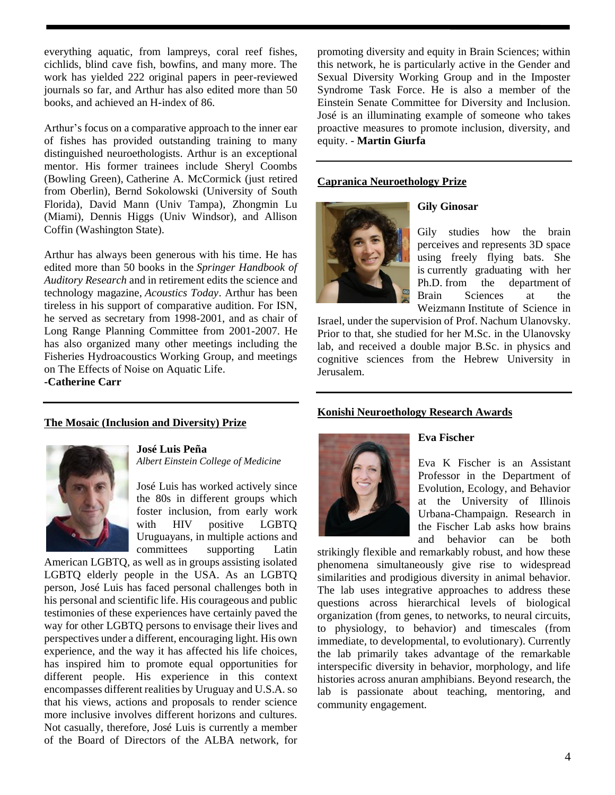everything aquatic, from lampreys, coral reef fishes, cichlids, blind cave fish, bowfins, and many more. The work has yielded 222 original papers in peer-reviewed journals so far, and Arthur has also edited more than 50 books, and achieved an H-index of 86.

Arthur's focus on a comparative approach to the inner ear of fishes has provided outstanding training to many distinguished neuroethologists. Arthur is an exceptional mentor. His former trainees include Sheryl Coombs (Bowling Green), Catherine A. McCormick (just retired from Oberlin), Bernd Sokolowski (University of South Florida), David Mann (Univ Tampa), Zhongmin Lu (Miami), Dennis Higgs (Univ Windsor), and Allison Coffin (Washington State).

Arthur has always been generous with his time. He has edited more than 50 books in the *Springer Handbook of Auditory Research* and in retirement edits the science and technology magazine, *Acoustics Today*. Arthur has been tireless in his support of comparative audition. For ISN, he served as secretary from 1998-2001, and as chair of Long Range Planning Committee from 2001-2007. He has also organized many other meetings including the Fisheries Hydroacoustics Working Group, and meetings on The Effects of Noise on Aquatic Life. **-Catherine Carr**

#### **The Mosaic (Inclusion and Diversity) Prize**



**José Luis Peña** *Albert Einstein College of Medicine*

José Luis has worked actively since the 80s in different groups which foster inclusion, from early work with HIV positive LGBTQ Uruguayans, in multiple actions and committees supporting Latin

American LGBTQ, as well as in groups assisting isolated LGBTQ elderly people in the USA. As an LGBTQ person, José Luis has faced personal challenges both in his personal and scientific life. His courageous and public testimonies of these experiences have certainly paved the way for other LGBTQ persons to envisage their lives and perspectives under a different, encouraging light. His own experience, and the way it has affected his life choices, has inspired him to promote equal opportunities for different people. His experience in this context encompasses different realities by Uruguay and U.S.A. so that his views, actions and proposals to render science more inclusive involves different horizons and cultures. Not casually, therefore, José Luis is currently a member of the Board of Directors of the ALBA network, for promoting diversity and equity in Brain Sciences; within this network, he is particularly active in the Gender and Sexual Diversity Working Group and in the Imposter Syndrome Task Force. He is also a member of the Einstein Senate Committee for Diversity and Inclusion. José is an illuminating example of someone who takes proactive measures to promote inclusion, diversity, and equity. - **Martin Giurfa**

#### **Capranica Neuroethology Prize**



#### **Gily Ginosar**

Gily studies how the brain perceives and represents 3D space using freely flying bats. She is currently graduating with her Ph.D. from the department of Brain Sciences at the Weizmann Institute of Science in

Israel, under the supervision of Prof. Nachum Ulanovsky. Prior to that, she studied for her M.Sc. in the Ulanovsky lab, and received a double major B.Sc. in physics and cognitive sciences from the Hebrew University in Jerusalem.

#### **Konishi Neuroethology Research Awards**



#### **Eva Fischer**

Eva K Fischer is an Assistant Professor in the Department of Evolution, Ecology, and Behavior at the University of Illinois Urbana-Champaign. Research in the Fischer Lab asks how brains and behavior can be both

strikingly flexible and remarkably robust, and how these phenomena simultaneously give rise to widespread similarities and prodigious diversity in animal behavior. The lab uses integrative approaches to address these questions across hierarchical levels of biological organization (from genes, to networks, to neural circuits, to physiology, to behavior) and timescales (from immediate, to developmental, to evolutionary). Currently the lab primarily takes advantage of the remarkable interspecific diversity in behavior, morphology, and life histories across anuran amphibians. Beyond research, the lab is passionate about teaching, mentoring, and community engagement.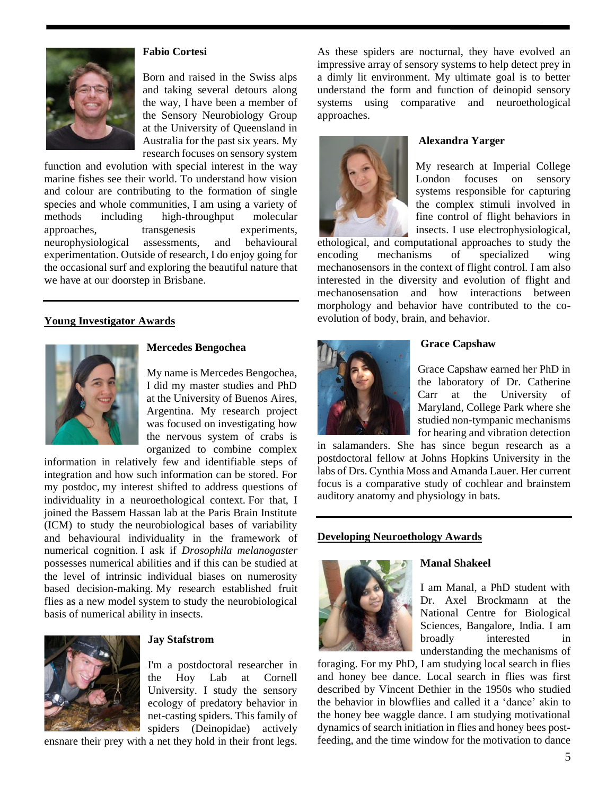

#### **Fabio Cortesi**

Born and raised in the Swiss alps and taking several detours along the way, I have been a member of the Sensory Neurobiology Group at the University of Queensland in Australia for the past six years. My research focuses on sensory system

function and evolution with special interest in the way marine fishes see their world. To understand how vision and colour are contributing to the formation of single species and whole communities, I am using a variety of methods including high-throughput molecular approaches, transgenesis experiments, neurophysiological assessments, and behavioural experimentation. Outside of research, I do enjoy going for the occasional surf and exploring the beautiful nature that we have at our doorstep in Brisbane.

#### **Young Investigator Awards**



#### **Mercedes Bengochea**

My name is Mercedes Bengochea, I did my master studies and PhD at the University of Buenos Aires, Argentina. My research project was focused on investigating how the nervous system of crabs is organized to combine complex

information in relatively few and identifiable steps of integration and how such information can be stored. For my postdoc, my interest shifted to address questions of individuality in a neuroethological context. For that, I joined the Bassem Hassan lab at the Paris Brain Institute (ICM) to study the neurobiological bases of variability and behavioural individuality in the framework of numerical cognition. I ask if *Drosophila melanogaster* possesses numerical abilities and if this can be studied at the level of intrinsic individual biases on numerosity based decision-making. My research established fruit flies as a new model system to study the neurobiological basis of numerical ability in insects.



#### **Jay Stafstrom**

I'm a postdoctoral researcher in the Hoy Lab at Cornell University. I study the sensory ecology of predatory behavior in net-casting spiders. This family of spiders (Deinopidae) actively

ensnare their prey with a net they hold in their front legs.

As these spiders are nocturnal, they have evolved an impressive array of sensory systems to help detect prey in a dimly lit environment. My ultimate goal is to better understand the form and function of deinopid sensory systems using comparative and neuroethological approaches.



#### **Alexandra Yarger**

My research at Imperial College London focuses on sensory systems responsible for capturing the complex stimuli involved in fine control of flight behaviors in insects. I use electrophysiological,

ethological, and computational approaches to study the encoding mechanisms of specialized wing mechanosensors in the context of flight control. I am also interested in the diversity and evolution of flight and mechanosensation and how interactions between morphology and behavior have contributed to the coevolution of body, brain, and behavior.



#### **Grace Capshaw**

Grace Capshaw earned her PhD in the laboratory of Dr. Catherine Carr at the University of Maryland, College Park where she studied non-tympanic mechanisms for hearing and vibration detection

in salamanders. She has since begun research as a postdoctoral fellow at Johns Hopkins University in the labs of Drs. Cynthia Moss and Amanda Lauer. Her current focus is a comparative study of cochlear and brainstem auditory anatomy and physiology in bats.

#### **Developing Neuroethology Awards**



#### **Manal Shakeel**

I am Manal, a PhD student with Dr. Axel Brockmann at the National Centre for Biological Sciences, Bangalore, India. I am broadly interested in understanding the mechanisms of

foraging. For my PhD, I am studying local search in flies and honey bee dance. Local search in flies was first described by Vincent Dethier in the 1950s who studied the behavior in blowflies and called it a 'dance' akin to the honey bee waggle dance. I am studying motivational dynamics of search initiation in flies and honey bees postfeeding, and the time window for the motivation to dance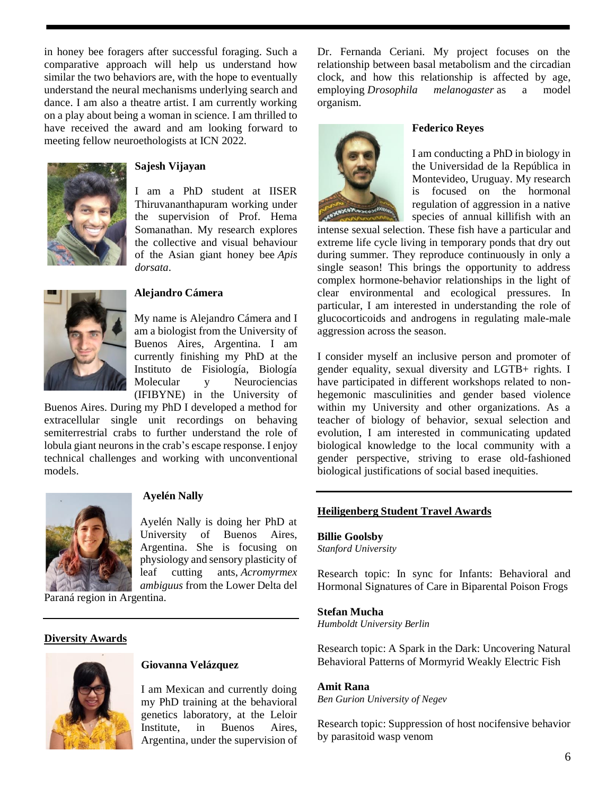in honey bee foragers after successful foraging. Such a comparative approach will help us understand how similar the two behaviors are, with the hope to eventually understand the neural mechanisms underlying search and dance. I am also a theatre artist. I am currently working on a play about being a woman in science. I am thrilled to have received the award and am looking forward to meeting fellow neuroethologists at ICN 2022.



#### **Sajesh Vijayan**

I am a PhD student at IISER Thiruvananthapuram working under the supervision of Prof. Hema Somanathan. My research explores the collective and visual behaviour of the Asian giant honey bee *Apis dorsata*.



#### **Alejandro Cámera**

My name is Alejandro Cámera and I am a biologist from the University of Buenos Aires, Argentina. I am currently finishing my PhD at the Instituto de Fisiología, Biología Molecular y Neurociencias (IFIBYNE) in the University of

Buenos Aires. During my PhD I developed a method for extracellular single unit recordings on behaving semiterrestrial crabs to further understand the role of lobula giant neurons in the crab's escape response. I enjoy technical challenges and working with unconventional models.



#### **Ayelén Nally**

Ayelén Nally is doing her PhD at University of Buenos Aires, Argentina. She is focusing on physiology and sensory plasticity of leaf cutting ants, *Acromyrmex ambiguus* from the Lower Delta del

Paraná region in Argentina.

#### **Diversity Awards**



#### **Giovanna Velázquez**

I am Mexican and currently doing my PhD training at the behavioral genetics laboratory, at the Leloir Institute, in Buenos Aires, Argentina, under the supervision of Dr. Fernanda Ceriani. My project focuses on the relationship between basal metabolism and the circadian clock, and how this relationship is affected by age, employing *Drosophila melanogaster* as a model organism.



#### **Federico Reyes**

I am conducting a PhD in biology in the Universidad de la República in Montevideo, Uruguay. My research is focused on the hormonal regulation of aggression in a native species of annual killifish with an

intense sexual selection. These fish have a particular and extreme life cycle living in temporary ponds that dry out during summer. They reproduce continuously in only a single season! This brings the opportunity to address complex hormone-behavior relationships in the light of clear environmental and ecological pressures. In particular, I am interested in understanding the role of glucocorticoids and androgens in regulating male-male aggression across the season.

I consider myself an inclusive person and promoter of gender equality, sexual diversity and LGTB+ rights. I have participated in different workshops related to nonhegemonic masculinities and gender based violence within my University and other organizations. As a teacher of biology of behavior, sexual selection and evolution, I am interested in communicating updated biological knowledge to the local community with a gender perspective, striving to erase old-fashioned biological justifications of social based inequities.

#### **Heiligenberg Student Travel Awards**

#### **Billie Goolsby**

*Stanford University*

Research topic: In sync for Infants: Behavioral and Hormonal Signatures of Care in Biparental Poison Frogs

#### **Stefan Mucha**

*Humboldt University Berlin*

Research topic: A Spark in the Dark: Uncovering Natural Behavioral Patterns of Mormyrid Weakly Electric Fish

#### **Amit Rana**

*Ben Gurion University of Negev*

Research topic: Suppression of host nocifensive behavior by parasitoid wasp venom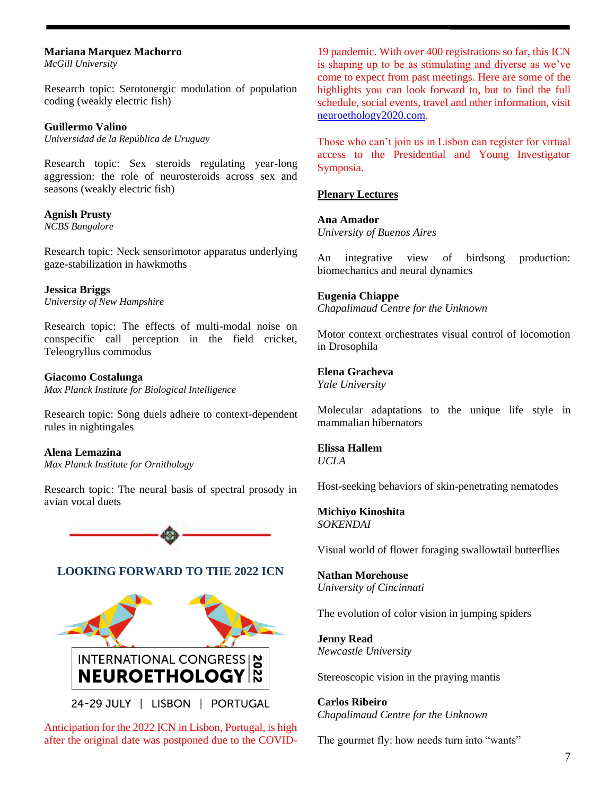#### **Mariana Marquez Machorro**

*McGill University*

Research topic: Serotonergic modulation of population coding (weakly electric fish)

**Guillermo Valino**

*Universidad de la República de Uruguay*

Research topic: Sex steroids regulating year-long aggression: the role of neurosteroids across sex and seasons (weakly electric fish)

**Agnish Prusty** *NCBS Bangalore*

Research topic: Neck sensorimotor apparatus underlying gaze-stabilization in hawkmoths

**Jessica Briggs** *University of New Hampshire*

Research topic: The effects of multi-modal noise on conspecific call perception in the field cricket, Teleogryllus commodus

**Giacomo Costalunga** *Max Planck Institute for Biological Intelligence*

Research topic: Song duels adhere to context-dependent rules in nightingales

**Alena Lemazina** *Max Planck Institute for Ornithology*

Research topic: The neural basis of spectral prosody in avian vocal duets



# **LOOKING FORWARD TO THE 2022 ICN**



Anticipation for the 2022 ICN in Lisbon, Portugal, is high after the original date was postponed due to the COVID- 19 pandemic. With over 400 registrations so far, this ICN is shaping up to be as stimulating and diverse as we've come to expect from past meetings. Here are some of the highlights you can look forward to, but to find the full schedule, social events, travel and other information, visit [neuroethology2020.com.](https://neuroethology2020.com/)

Those who can't join us in Lisbon can register for virtual access to the Presidential and Young Investigator Symposia.

#### **Plenary Lectures**

**Ana Amador** *University of Buenos Aires*

An integrative view of birdsong production: biomechanics and neural dynamics

#### **Eugenia Chiappe**

*Chapalimaud Centre for the Unknown*

Motor context orchestrates visual control of locomotion in Drosophila

# **Elena Gracheva**

*Yale University*

Molecular adaptations to the unique life style in mammalian hibernators

#### **Elissa Hallem** *UCLA*

Host-seeking behaviors of skin-penetrating nematodes

#### **Michiyo Kinoshita** *SOKENDAI*

Visual world of flower foraging swallowtail butterflies

#### **Nathan Morehouse** *University of Cincinnati*

The evolution of color vision in jumping spiders

**Jenny Read** *Newcastle University*

Stereoscopic vision in the praying mantis

**Carlos Ribeiro** *Chapalimaud Centre for the Unknown*

The gourmet fly: how needs turn into "wants"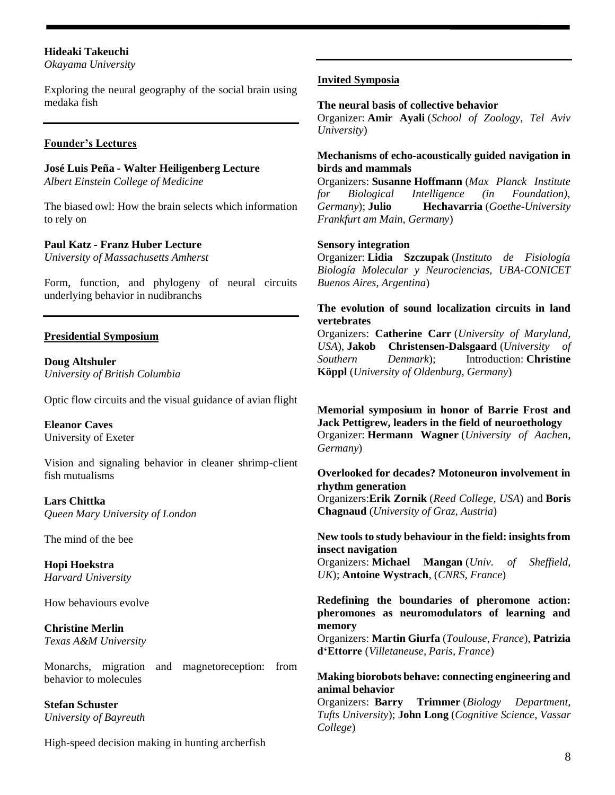### **Hideaki Takeuchi**

*Okayama University*

Exploring the neural geography of the social brain using medaka fish

#### **Founder's Lectures**

**José Luis Peña - Walter Heiligenberg Lecture** *Albert Einstein College of Medicine*

The biased owl: How the brain selects which information to rely on

#### **Paul Katz - Franz Huber Lecture**

*University of Massachusetts Amherst*

Form, function, and phylogeny of neural circuits underlying behavior in nudibranchs

#### **Presidential Symposium**

**Doug Altshuler** *University of British Columbia*

Optic flow circuits and the visual guidance of avian flight

**Eleanor Caves** University of Exeter

Vision and signaling behavior in cleaner shrimp-client fish mutualisms

**Lars Chittka** *Queen Mary University of London*

The mind of the bee

**Hopi Hoekstra** *Harvard University*

How behaviours evolve

**Christine Merlin** *Texas A&M University*

Monarchs, migration and magnetoreception: from behavior to molecules

**Stefan Schuster** *University of Bayreuth* 

High-speed decision making in hunting archerfish

#### **Invited Symposia**

#### **The neural basis of collective behavior**

Organizer: **Amir Ayali** (*School of Zoology, Tel Aviv University*)

#### **Mechanisms of echo-acoustically guided navigation in birds and mammals**

Organizers: **Susanne Hoffmann** (*Max Planck Institute for Biological Intelligence (in Foundation), Germany*); **Julio Hechavarria** (*Goethe-University Frankfurt am Main, Germany*)

#### **Sensory integration**

Organizer: **Lidia Szczupak** (*Instituto de Fisiología Biología Molecular y Neurociencias, UBA-CONICET Buenos Aires, Argentina*)

#### **The evolution of sound localization circuits in land vertebrates**

Organizers: **Catherine Carr** (*University of Maryland, USA*), **Jakob Christensen-Dalsgaard** (*University of Southern Denmark*); Introduction: **Christine Köppl** (*University of Oldenburg, Germany*)

**Memorial symposium in honor of Barrie Frost and Jack Pettigrew, leaders in the field of neuroethology** Organizer: **Hermann Wagner** (*University of Aachen, Germany*)

# **Overlooked for decades? Motoneuron involvement in rhythm generation**

Organizers:**Erik Zornik** (*Reed College, USA*) and **Boris Chagnaud** (*University of Graz, Austria*)

#### **New tools to study behaviour in the field: insights from insect navigation**

Organizers: **Michael Mangan** (*Univ. of Sheffield, UK*); **Antoine Wystrach**, (*CNRS, France*)

#### **Redefining the boundaries of pheromone action: pheromones as neuromodulators of learning and memory**

Organizers: **Martin Giurfa** (*Toulouse, France*), **Patrizia d'Ettorre** (*Villetaneuse, Paris, France*)

#### **Making biorobots behave: connecting engineering and animal behavior**

Organizers: **Barry Trimmer** (*Biology Department, Tufts University*); **John Long** (*Cognitive Science, Vassar College*)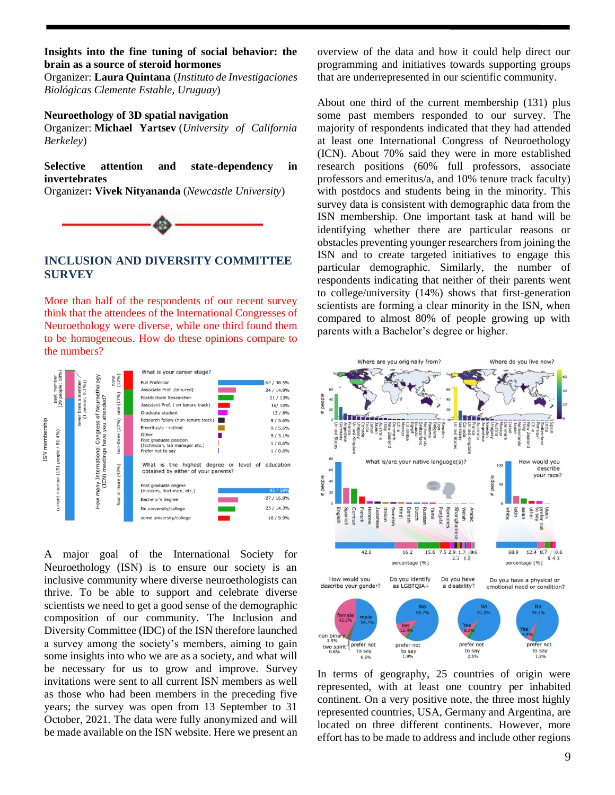#### **Insights into the fine tuning of social behavior: the brain as a source of steroid hormones**

Organizer: **Laura Quintana** (*Instituto de Investigaciones Biológicas Clemente Estable, Uruguay*)

#### **Neuroethology of 3D spatial navigation**

Organizer: **Michael Yartsev** (*University of California Berkeley*)

**Selective attention and state-dependency in invertebrates**

Organizer**: Vivek Nityananda** (*Newcastle University*)



#### **INCLUSION AND DIVERSITY COMMITTEE SURVEY**

More than half of the respondents of our recent survey think that the attendees of the International Congresses of Neuroethology were diverse, while one third found them to be homogeneous. How do these opinions compare to the numbers?



A major goal of the International Society for Neuroethology (ISN) is to ensure our society is an inclusive community where diverse neuroethologists can thrive. To be able to support and celebrate diverse scientists we need to get a good sense of the demographic composition of our community. The Inclusion and Diversity Committee (IDC) of the ISN therefore launched a survey among the society's members, aiming to gain some insights into who we are as a society, and what will be necessary for us to grow and improve. Survey invitations were sent to all current ISN members as well as those who had been members in the preceding five years; the survey was open from 13 September to 31 October, 2021. The data were fully anonymized and will be made available on the ISN website. Here we present an

overview of the data and how it could help direct our programming and initiatives towards supporting groups that are underrepresented in our scientific community.

About one third of the current membership (131) plus some past members responded to our survey. The majority of respondents indicated that they had attended at least one International Congress of Neuroethology (ICN). About 70% said they were in more established research positions (60% full professors, associate professors and emeritus/a, and 10% tenure track faculty) with postdocs and students being in the minority. This survey data is consistent with demographic data from the ISN membership. One important task at hand will be identifying whether there are particular reasons or obstacles preventing younger researchers from joining the ISN and to create targeted initiatives to engage this particular demographic. Similarly, the number of respondents indicating that neither of their parents went to college/university (14%) shows that first-generation scientists are forming a clear minority in the ISN, when compared to almost 80% of people growing up with parents with a Bachelor's degree or higher.



In terms of geography, 25 countries of origin were represented, with at least one country per inhabited continent. On a very positive note, the three most highly represented countries, USA, Germany and Argentina, are located on three different continents. However, more effort has to be made to address and include other regions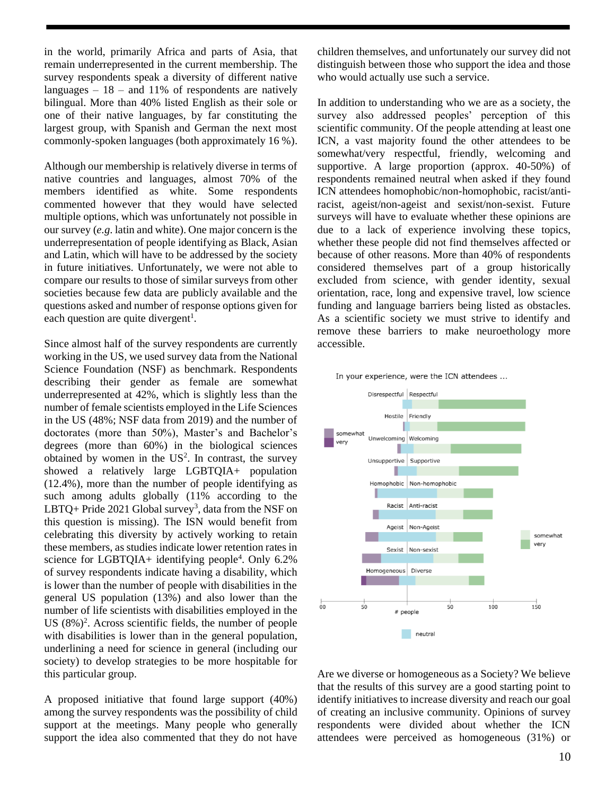in the world, primarily Africa and parts of Asia, that remain underrepresented in the current membership. The survey respondents speak a diversity of different native languages  $-18$  – and 11% of respondents are natively bilingual. More than 40% listed English as their sole or one of their native languages, by far constituting the largest group, with Spanish and German the next most commonly-spoken languages (both approximately 16 %).

Although our membership is relatively diverse in terms of native countries and languages, almost 70% of the members identified as white. Some respondents commented however that they would have selected multiple options, which was unfortunately not possible in our survey (*e.g*. latin and white). One major concern is the underrepresentation of people identifying as Black, Asian and Latin, which will have to be addressed by the society in future initiatives. Unfortunately, we were not able to compare our results to those of similar surveys from other societies because few data are publicly available and the questions asked and number of response options given for each question are quite divergent<sup>1</sup>.

Since almost half of the survey respondents are currently working in the US, we used survey data from the National Science Foundation (NSF) as benchmark. Respondents describing their gender as female are somewhat underrepresented at 42%, which is slightly less than the number of female scientists employed in the Life Sciences in the US (48%; NSF data from 2019) and the number of doctorates (more than 50%), Master's and Bachelor's degrees (more than 60%) in the biological sciences obtained by women in the  $US^2$ . In contrast, the survey showed a relatively large LGBTQIA+ population (12.4%), more than the number of people identifying as such among adults globally (11% according to the LBTQ+ Pride 2021 Global survey<sup>3</sup>, data from the NSF on this question is missing). The ISN would benefit from celebrating this diversity by actively working to retain these members, as studies indicate lower retention rates in science for LGBTQIA+ identifying people<sup>4</sup>. Only 6.2% of survey respondents indicate having a disability, which is lower than the number of people with disabilities in the general US population (13%) and also lower than the number of life scientists with disabilities employed in the US  $(8\%)^2$ . Across scientific fields, the number of people with disabilities is lower than in the general population, underlining a need for science in general (including our society) to develop strategies to be more hospitable for this particular group.

A proposed initiative that found large support (40%) among the survey respondents was the possibility of child support at the meetings. Many people who generally support the idea also commented that they do not have children themselves, and unfortunately our survey did not distinguish between those who support the idea and those who would actually use such a service.

In addition to understanding who we are as a society, the survey also addressed peoples' perception of this scientific community. Of the people attending at least one ICN, a vast majority found the other attendees to be somewhat/very respectful, friendly, welcoming and supportive. A large proportion (approx. 40-50%) of respondents remained neutral when asked if they found ICN attendees homophobic/non-homophobic, racist/antiracist, ageist/non-ageist and sexist/non-sexist. Future surveys will have to evaluate whether these opinions are due to a lack of experience involving these topics, whether these people did not find themselves affected or because of other reasons. More than 40% of respondents considered themselves part of a group historically excluded from science, with gender identity, sexual orientation, race, long and expensive travel, low science funding and language barriers being listed as obstacles. As a scientific society we must strive to identify and remove these barriers to make neuroethology more accessible.





Are we diverse or homogeneous as a Society? We believe that the results of this survey are a good starting point to identify initiatives to increase diversity and reach our goal of creating an inclusive community. Opinions of survey respondents were divided about whether the ICN attendees were perceived as homogeneous (31%) or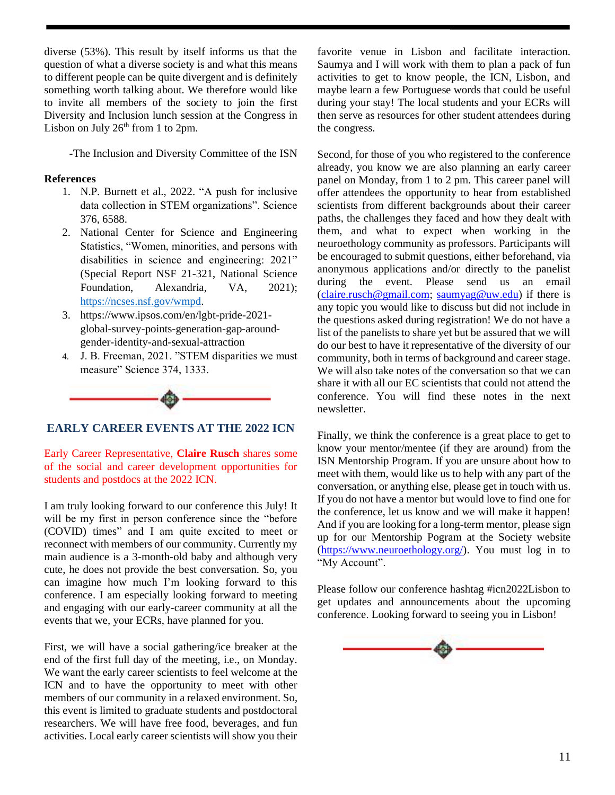diverse (53%). This result by itself informs us that the question of what a diverse society is and what this means to different people can be quite divergent and is definitely something worth talking about. We therefore would like to invite all members of the society to join the first Diversity and Inclusion lunch session at the Congress in Lisbon on July  $26<sup>th</sup>$  from 1 to 2pm.

-The Inclusion and Diversity Committee of the ISN

#### **References**

- 1. N.P. Burnett et al., 2022. "A push for inclusive data collection in STEM organizations". Science 376, 6588.
- 2. National Center for Science and Engineering Statistics, "Women, minorities, and persons with disabilities in science and engineering: 2021" (Special Report NSF 21-321, National Science Foundation, Alexandria, VA, 2021); [https://ncses.nsf.gov/wmpd.](about:blank)
- 3. https://www.ipsos.com/en/lgbt-pride-2021 global-survey-points-generation-gap-aroundgender-identity-and-sexual-attraction
- 4. J. B. Freeman, 2021. "STEM disparities we must measure" Science 374, 1333.



#### **EARLY CAREER EVENTS AT THE 2022 ICN**

Early Career Representative, **Claire Rusch** shares some of the social and career development opportunities for students and postdocs at the 2022 ICN.

I am truly looking forward to our conference this July! It will be my first in person conference since the "before (COVID) times" and I am quite excited to meet or reconnect with members of our community. Currently my main audience is a 3-month-old baby and although very cute, he does not provide the best conversation. So, you can imagine how much I'm looking forward to this conference. I am especially looking forward to meeting and engaging with our early-career community at all the events that we, your ECRs, have planned for you.

First, we will have a social gathering/ice breaker at the end of the first full day of the meeting, i.e., on Monday. We want the early career scientists to feel welcome at the ICN and to have the opportunity to meet with other members of our community in a relaxed environment. So, this event is limited to graduate students and postdoctoral researchers. We will have free food, beverages, and fun activities. Local early career scientists will show you their

favorite venue in Lisbon and facilitate interaction. Saumya and I will work with them to plan a pack of fun activities to get to know people, the ICN, Lisbon, and maybe learn a few Portuguese words that could be useful during your stay! The local students and your ECRs will then serve as resources for other student attendees during the congress.

Second, for those of you who registered to the conference already, you know we are also planning an early career panel on Monday, from 1 to 2 pm. This career panel will offer attendees the opportunity to hear from established scientists from different backgrounds about their career paths, the challenges they faced and how they dealt with them, and what to expect when working in the neuroethology community as professors. Participants will be encouraged to submit questions, either beforehand, via anonymous applications and/or directly to the panelist during the event. Please send us an email [\(claire.rusch@gmail.com;](mailto:claire.rusch@gmail.com) [saumyag@uw.edu\)](mailto:saumyag@uw.edu) if there is any topic you would like to discuss but did not include in the questions asked during registration! We do not have a list of the panelists to share yet but be assured that we will do our best to have it representative of the diversity of our community, both in terms of background and career stage. We will also take notes of the conversation so that we can share it with all our EC scientists that could not attend the conference. You will find these notes in the next newsletter.

Finally, we think the conference is a great place to get to know your mentor/mentee (if they are around) from the ISN Mentorship Program. If you are unsure about how to meet with them, would like us to help with any part of the conversation, or anything else, please get in touch with us. If you do not have a mentor but would love to find one for the conference, let us know and we will make it happen! And if you are looking for a long-term mentor, please sign up for our Mentorship Pogram at the Society website [\(https://www.neuroethology.org/\)](https://www.neuroethology.org/). You must log in to "My Account".

Please follow our conference hashtag #icn2022Lisbon to get updates and announcements about the upcoming conference. Looking forward to seeing you in Lisbon!

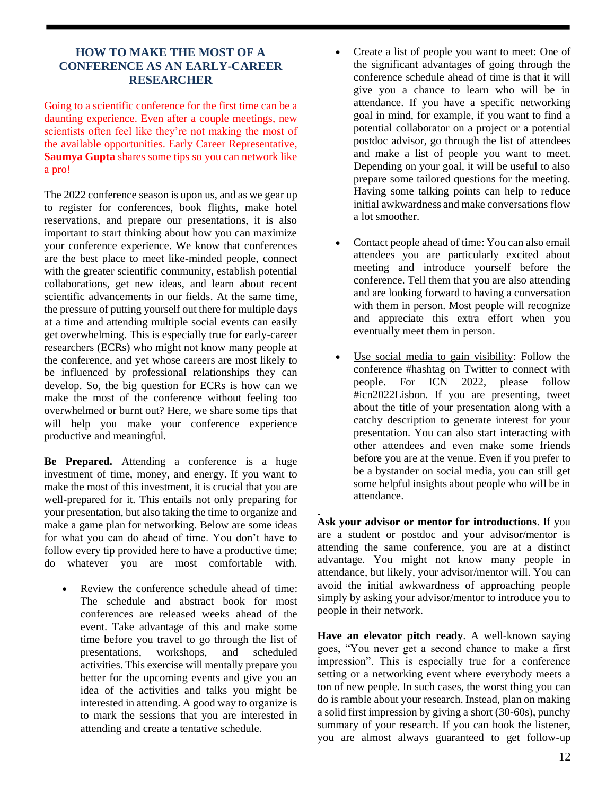# **HOW TO MAKE THE MOST OF A CONFERENCE AS AN EARLY-CAREER RESEARCHER**

Going to a scientific conference for the first time can be a daunting experience. Even after a couple meetings, new scientists often feel like they're not making the most of the available opportunities. Early Career Representative, **Saumya Gupta** shares some tips so you can network like a pro!

The 2022 conference season is upon us, and as we gear up to register for conferences, book flights, make hotel reservations, and prepare our presentations, it is also important to start thinking about how you can maximize your conference experience. We know that conferences are the best place to meet like-minded people, connect with the greater scientific community, establish potential collaborations, get new ideas, and learn about recent scientific advancements in our fields. At the same time, the pressure of putting yourself out there for multiple days at a time and attending multiple social events can easily get overwhelming. This is especially true for early-career researchers (ECRs) who might not know many people at the conference, and yet whose careers are most likely to be influenced by professional relationships they can develop. So, the big question for ECRs is how can we make the most of the conference without feeling too overwhelmed or burnt out? Here, we share some tips that will help you make your conference experience productive and meaningful.

**Be Prepared.** Attending a conference is a huge investment of time, money, and energy. If you want to make the most of this investment, it is crucial that you are well-prepared for it. This entails not only preparing for your presentation, but also taking the time to organize and make a game plan for networking. Below are some ideas for what you can do ahead of time. You don't have to follow every tip provided here to have a productive time; do whatever you are most comfortable with.

Review the conference schedule ahead of time: The schedule and abstract book for most conferences are released weeks ahead of the event. Take advantage of this and make some time before you travel to go through the list of presentations, workshops, and scheduled activities. This exercise will mentally prepare you better for the upcoming events and give you an idea of the activities and talks you might be interested in attending. A good way to organize is to mark the sessions that you are interested in attending and create a tentative schedule.

- Create a list of people you want to meet: One of the significant advantages of going through the conference schedule ahead of time is that it will give you a chance to learn who will be in attendance. If you have a specific networking goal in mind, for example, if you want to find a potential collaborator on a project or a potential postdoc advisor, go through the list of attendees and make a list of people you want to meet. Depending on your goal, it will be useful to also prepare some tailored questions for the meeting. Having some talking points can help to reduce initial awkwardness and make conversations flow a lot smoother.
- Contact people ahead of time: You can also email attendees you are particularly excited about meeting and introduce yourself before the conference. Tell them that you are also attending and are looking forward to having a conversation with them in person. Most people will recognize and appreciate this extra effort when you eventually meet them in person.
- Use social media to gain visibility: Follow the conference #hashtag on Twitter to connect with people. For ICN 2022, please follow #icn2022Lisbon. If you are presenting, tweet about the title of your presentation along with a catchy description to generate interest for your presentation. You can also start interacting with other attendees and even make some friends before you are at the venue. Even if you prefer to be a bystander on social media, you can still get some helpful insights about people who will be in attendance.

**Ask your advisor or mentor for introductions**. If you are a student or postdoc and your advisor/mentor is attending the same conference, you are at a distinct advantage. You might not know many people in attendance, but likely, your advisor/mentor will. You can avoid the initial awkwardness of approaching people simply by asking your advisor/mentor to introduce you to people in their network.

**Have an elevator pitch ready**. A well-known saying goes, "You never get a second chance to make a first impression". This is especially true for a conference setting or a networking event where everybody meets a ton of new people. In such cases, the worst thing you can do is ramble about your research. Instead, plan on making a solid first impression by giving a short (30-60s), punchy summary of your research. If you can hook the listener, you are almost always guaranteed to get follow-up